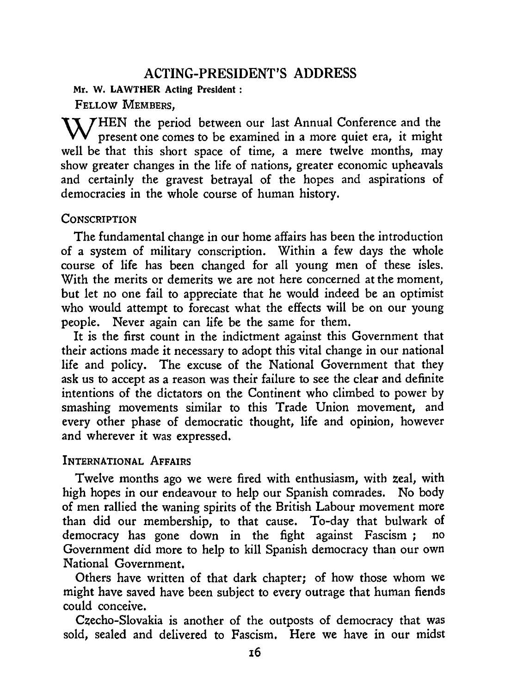# **ACTING-PRESIDENT'S ADDRESS**

**Mr. W. LAWTHER Acting President:** 

FELLOW MEMBERS,

**X 7 HEN** the period between our last Annual Conference and the present one comes to be examined in a more quiet era, it might well be that this short space of time, a mere twelve months, may show greater changes in the life of nations, greater economic upheavals and certainly the gravest betrayal of the hopes and aspirations of democracies in the whole course of human history.

# **CONSCRIPTION**

The fundamental change in our home affairs has been the introduction of a system of military conscription. Within a few days the whole course of life has been changed for all young men of these isles. With the merits or demerits we are not here concerned at the moment, but let no one fail to appreciate that he would indeed be an optimist who would attempt to forecast what the effects will be on our young people. Never again can life be the same for them.

It is the first count in the indictment against this Government that their actions made it necessary to adopt this vital change in our national life and policy. The excuse of the National Government that they ask us to accept as a reason was their failure to see the clear and definite intentions of the dictators on the Continent who climbed to power by smashing movements similar to this Trade Union movement, and every other phase of democratic thought, life and opinion, however and wherever it was expressed.

# INTERNATIONAL AFFAIRS

Twelve months ago we were fired with enthusiasm, with zeal, with high hopes in our endeavour to help our Spanish comrades. No body of men rallied the waning spirits of the British Labour movement more than did our membership, to that cause. To-day that bulwark of democracy has gone down in the fight against Fascism ; Government did more to help to kill Spanish democracy than our own National Government.

Others have written of that dark chapter; of how those whom we might have saved have been subject to every outrage that human fiends could conceive.

Czecho-Slovakia is another of the outposts of democracy that was sold, sealed and delivered to Fascism. Here we have in our midst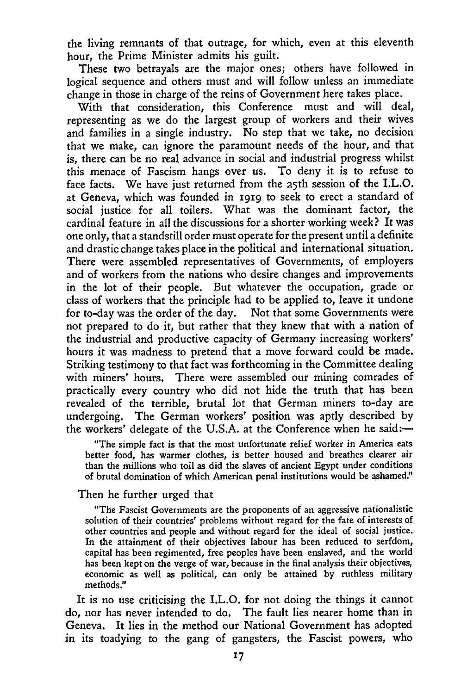the living remnants of that outrage, for which, even at this eleventh hour, the Prime Minister admits his guilt.

These two betrayals are the major ones; others have followed in logical sequence and others must and will follow unless an immediate change in those in charge of the reins of Government here takes place.

With that consideration, this Conference must and will deal, representing as we do the largest group of workers and their wives and families in a single industry. No step that we take, no decision that we make, can ignore the paramount needs of the hour, and that is, there can be no real advance in social and industrial progress whilst this menace of Fascism hangs over us. To deny it is to refuse to face facts. We have just returned from the 25th session of the I.L.O. at Geneva, which was founded in 1919 to seek to erect a standard of social justice for all toilers. What was the dominant factor, the cardinal feature in all the discussions for a shorter working week? It was one only, that a standstill order must operate for the present until a definite and drastic change takes place in the political and international situation. There were assembled representatives of Governments, of employers and of workers from the nations who desire changes and improvements in the lot of their people. But whatever the occupation, grade or class of workers that the principle had to be applied to, leave it undone for to-day was the order of the day. Not that some Governments were not prepared to do it, but rather that they knew that with a nation of the industrial and productive capacity of Germany increasing workers' hours it was madness to pretend that a move forward could be made. Striking testimony to that fact was forthcoming in the Committee dealing with miners' hours. There were assembled our mining comrades of practically every country who did not hide the truth that has been revealed of the terrible, brutal lot that German miners to-day are undergoing. The German workers' position was aptly described by the workers' delegate of the U.S.A. at the Conference when he said:—

"The simple fact is that the most unfortunate relief worker in America eats better food, has warmer clothes, is better housed *and* breathes clearer air than the millions who toil as did the slaves of ancient Egypt under conditions of brutal domination of which American penal institutions would be ashamed'

### Then he further urged that

"The Fascist Governments are the proponents of an aggressive nationalistic solution of their countries' problems without regard for the fate of interests of other countries and people and without regard for the ideal of social justice. In the attainment of their objectives labour has been reduced to serfdom, capital has been regimented, free peoples have been enslaved, and the world has been kept on the verge of war, because in the final analysis their objectives, economic as well as political, can only be attained by ruthless military methods."

It is no use criticising the I.L.O. for not doing the things it cannot do, nor has never intended to do. The fault lies nearer home than in Geneva. It lies in the method our National Government has adopted in its toadying to the gang of gangsters, the Fascist powers, who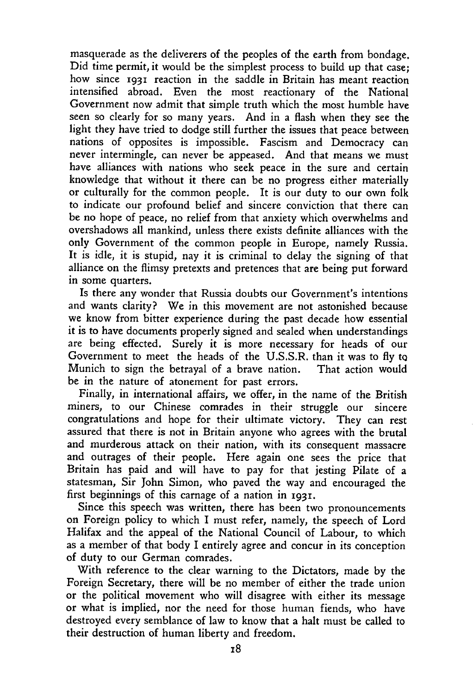masquerade as the deliverers of the peoples of the earth from bondage. Did time permit, it would be the simplest process to build up that case; how since 1931 reaction in the saddle in Britain has meant reaction intensified abroad. Even the most reactionary of the National Government now admit that simple truth which the most humble have seen so clearly for so many years. And in a flash when they see the light they have tried to dodge still further the issues that peace between nations of opposites is impossible. Fascism and Democracy can never intermingle, can never be appeased. And that means we must have alliances with nations who seek peace in the sure and certain knowledge that without it there can be no progress either materially or culturally for the common people. It is our duty to our own folk to indicate our profound belief and sincere conviction that there can be no hope of peace, no relief from that anxiety which overwhelms and overshadows all mankind, unless there exists definite alliances with the only Government of the common people in Europe, namely Russia. It is idle, it is stupid, nay it is criminal to delay the signing of that alliance on the flimsy pretexts and pretences that are being put forward in some quarters.

Is there any wonder that Russia doubts our Government's intentions and wants clarity? We in this movement are not astonished because we know from bitter experience during the past decade how essential it is to have documents properly signed and sealed when understandings are being effected. Surely it is more necessary for heads of our Government to meet the heads of the U.S.S.R. than it was to fly tQ Munich to sign the betrayal of a brave nation. That action would be in the nature of atonement for past errors.

Finally, in international affairs, we offer, in the name of the British miners, to our Chinese comrades in their struggle our sincere congratulations and hope for their ultimate victory. They can rest assured that there is not in Britain anyone who agrees with the brutal and murderous attack on their nation, with its consequent massacre and outrages of their people. Here again one sees the price that Britain has paid and will have to pay for that jesting Pilate of a statesman, Sir John Simon, who paved the way and encouraged the first beginnings of this carnage of a nation in 1931-

Since this speech was written, there has been two pronouncements on Foreign policy to which I must refer, namely, the speech of Lord Halifax and the appeal of the National Council of Labour, to which as a member of that body I entirely agree and concur in its conception of duty to our German comrades.

With reference to the clear warning to the Dictators, made by the Foreign Secretary, there will be no member of either the trade union or the political movement who will disagree with either its message or what is implied, nor the need for those human fiends, who have destroyed every semblance of law to know that a halt must be called to their destruction of human liberty and freedom.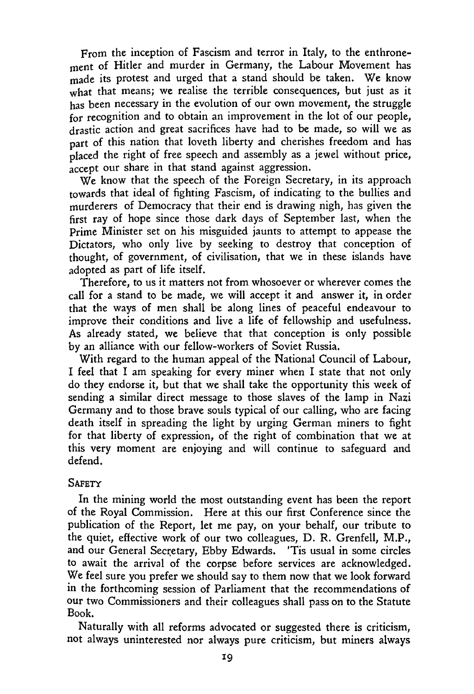From the inception of Fascism and terror in Italy, to the enthronement of Hitler and murder in Germany, the Labour Movement has made its protest and urged that a stand should be taken. We know what that means; we realise the terrible consequences, but just as it has been necessary in the evolution of our own movement, the struggle for recognition and to obtain an improvement in the lot of our people, drastic action and great sacrifices have had to be made, so will we as part of this nation that loveth liberty and cherishes freedom and has placed the right of free speech and assembly as a jewel without price, accept our share in that stand against aggression.

We know that the speech of the Foreign Secretary, in its approach towards that ideal of fighting Fascism, of indicating to the bullies and murderers of Democracy that their end is drawing nigh, has given the first ray of hope since those dark days of September last, when the Prime Minister set on his misguided jaunts to attempt to appease the Dictators, who only live by seeking to destroy that conception of thought, of government, of civilisation, that we in these islands have adopted as part of life itself.

Therefore, to us it matters not from whosoever or wherever comes the call for a stand to be made, we will accept it and answer it, in order that the ways of men shall be along lines of peaceful endeavour to improve their conditions and live a life of fellowship and usefulness. As already stated, we believe that that conception is only possible by an alliance with our fellow-workers of Soviet Russia.

With regard to the human appeal of the National Council of Labour, I feel that I am speaking for every miner when I state that not only do they endorse it, but that we shall take the opportunity this week of sending a similar direct message to those slaves of the lamp in Nazi Germany and to those brave souls typical of our calling, who are facing death itself in spreading the light by urging German miners to fight for that liberty of expression, of the right of combination that we at this very moment are enjoying and will continue to safeguard and defend.

## **SAFETY**

In the mining world the most outstanding event has been the report of the Royal Commission. Here at this our first Conference since the publication of the Report, let me pay, on your behalf, our tribute to the quiet, effective work of our two colleagues, D. R. Grenfell, M.P., and our General Secretary, Ebby Edwards. 'Tis usual in some circles to await the arrival of the corpse before services are acknowledged. We feel sure you prefer we should say to them now that we look forward in the forthcoming session of Parliament that the recommendations of our two Commissioners and their colleagues shall pass on to the Statute Book.

Naturally with all reforms advocated or suggested there is criticism, not always uninterested nor always pure criticism, but miners always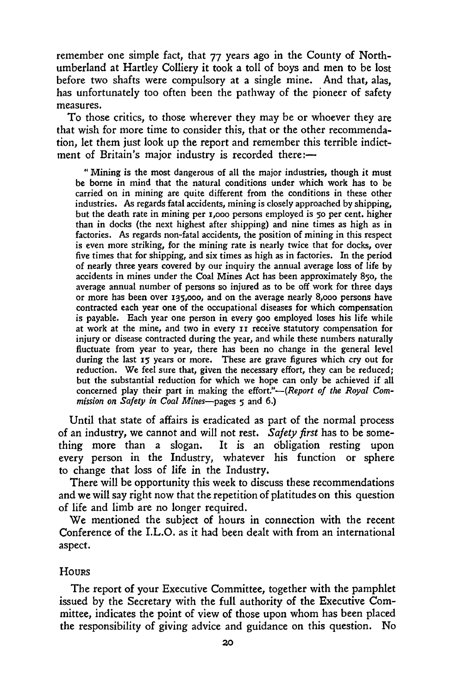remember one simple fact, that 77 years ago in the County of Northumberland at Hartley Colliery it took a toll of boys and men to be lost before two shafts were compulsory at a single mine. And that, alas, has unfortunately too often been the pathway of the pioneer of safety measures.

To those critics, to those wherever they may be or whoever they are that wish for more time to consider this, that or the other recommendation, let them just look up the report and remember this terrible indictment of Britain's major industry is recorded there:—

"Mining is the most dangerous of all the major industries, though it must be borne in mind that the natural conditions under which work has to be carried on in mining are quite different from the conditions in these other industries. As regards fatal accidents, mining is closely approached by shipping, but the death rate in mining per i,000 persons employed is 5o per cent. higher than in docks (the next highest after shipping) and nine times as high as in factories. As regards non-fatal accidents, the position of mining in this respect is even more striking, for the mining rate is nearly twice that for docks, over five times that for shipping, and six times as high as in factories. In the period of nearly three years covered by our inquiry the annual average loss of life by accidents in mines under the Coal Mines Act has been approximately *850,* the average annual number of persons so injured as to be off work for three days or more has been over 135,000, and on the average nearly 8,000 persons have contracted each year one of the occupational diseases for which compensation is payable. Each year one person in every goo employed loses his life while at work at the mine, and two in every II receive statutory compensation for injury or disease contracted during the year, and while these numbers naturally fluctuate from year to year, there has been no change in the general level during the last 15 years or more. These are grave figures which cry out for reduction. We feel sure that, given the necessary effort, they can be reduced; but the substantial reduction for which we hope can only be achieved if all concerned play their part in making the *effort:'--(Report of the Royal Commission on Safety in Coal Mines—pages 5* and 6.)

Until that state of affairs is eradicated as part of the normal process of an industry, we cannot and will not rest. *Safety first* has to be something more than a slogan. It is an obligation resting upon every person in the Industry, whatever his function or sphere to change that loss of life in the Industry.

There will be opportunity this week to discuss these recommendations and we will say right now that the repetition of platitudes on this question of life and limb are no longer required.

We mentioned the subject of hours in connection with the recent Conference of the I.L.O. as it had been dealt with from an international aspect.

#### **HOURS**

The report of your Executive Committee, together with the pamphlet issued by the Secretary with the full authority of the Executive Committee, indicates the point of view of those upon whom has been placed the responsibility of giving advice and guidance on this question. No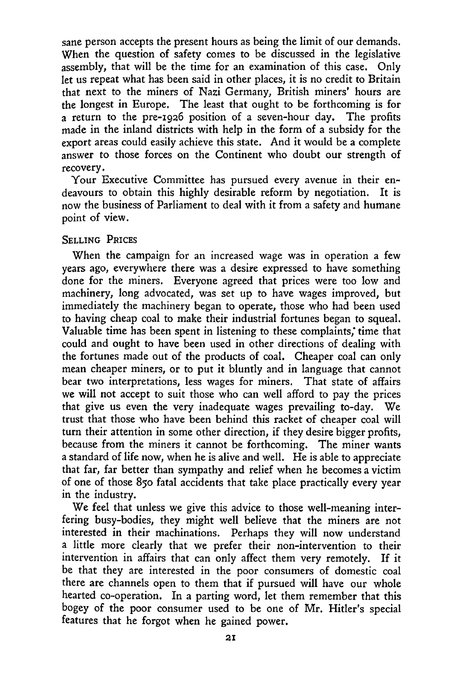sane person accepts the present hours as being the limit of our demands. When the question of safety comes to be discussed in the legislative assembly, that will be the time for an examination of this case. Only let us repeat what has been said in other places, it is no credit to Britain that next to the miners of Nazi Germany, British miners' hours are the longest in Europe. The least that ought to be forthcoming is for a return to the pre-196 position of a seven-hour day. The profits made in the inland districts with help in the form of a subsidy for the export areas could easily achieve this state. And it would be a complete answer to those forces on the Continent who doubt our strength of recovery.

Your Executive Committee has pursued every avenue in their endeavours to obtain this highly desirable reform by negotiation. It is now the business of Parliament to deal with it from a safety and humane point of view.

#### SELLING PRICES

When the campaign for an increased wage was in operation a few years ago, everywhere there was a desire expressed to have something done for the miners. Everyone agreed that prices were too low and machinery, long advocated, was set up to have wages improved, but immediately the machinery began to operate, those who had been used to having cheap coal to make their industrial fortunes began to squeal. Valuable time has been spent in listening to these complaints; time that could and ought to have been used in other directions of dealing with the fortunes made out of the products of coal. Cheaper coal can only mean cheaper miners, or to put it bluntly and in language that cannot bear two interpretations, less wages for miners. That state of affairs we will not accept to suit those who can well afford to pay the prices that give us even the very inadequate wages prevailing to-day. We trust that those who have been behind this racket of cheaper coal will turn their attention in some other direction, if they desire bigger profits, because from the miners it cannot be forthcoming. The miner wants a standard of life now, when he is alive and well. He is able to appreciate that far, far better than sympathy and relief when he becomes a victim of one of those *850* fatal accidents that take place practically every year in the industry.

We feel that unless we give this advice to those well-meaning interfering busy-bodies, they might well believe that the miners are not interested in their machinations. Perhaps they will now understand a little more clearly that we prefer their non-intervention to their intervention in affairs that can only affect them very remotely. If it be that they are interested in the poor consumers of domestic coal there are channels open to them that if pursued will have our whole hearted co-operation. In a parting word, let them remember that this bogey of the poor consumer used to be one of Mr. Hitler's special features that he forgot when he gained power.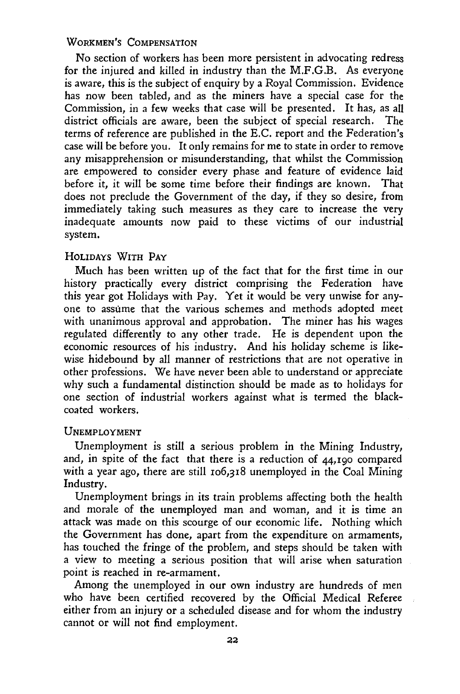### WORKMEN'S COMPENSATION

No section of workers has been more persistent in advocating redress for the injured and killed in industry than the M,F,G.B. As everyone is aware, this is the subject of enquiry by a Royal Commission. Evidence has now been tabled, and as the miners have a special case for the Commission, in a few weeks that case will be presented. It has, as all district officials are aware, been the subject of special research. terms of reference are published in the E.C. report and the Federation's case will be before you. It only remains for me to state in order to remove any misapprehension or misunderstanding, that whilst the Commission are empowered to consider every phase and feature of evidence laid before it, it will be some time before their findings are known. That does not preclude the Government of the day, if they so desire, from immediately taking such measures as they care to increase the very inadequate amounts now paid to these victims of our industrial system,

#### HOLIDAYS WITH PAY

Much has been written up of the fact that for the first time in our history practically every district comprising the Federation have this year got Holidays with Pay. Yet it would be very unwise for anyone to assume that the various schemes and methods adopted meet with unanimous approval and approbation. The miner has his wages regulated differently to any other trade. He is dependent upon the economic resources of his industry. And his holiday scheme is likewise hidebound by all manner of restrictions that are not operative in other professions. We have never been able to understand or appreciate why such a fundamental distinction should be made as to holidays for one section of industrial workers against what is termed the blackcoated workers.

### UNEMPLOYMENT

Unemployment is still a serious problem in the Mining Industry, and, in spite of the fact that there is a reduction of  $44,190$  compared with a year ago, there are still *106,318* unemployed in the Coal Mining Industry.

Unemployment brings in its train problems affecting both the health and morale of the unemployed man and woman, and it is time an attack was made on this scourge of our economic life. Nothing which the Government has done, apart from the expenditure on armaments, has touched the fringe of the problem, and steps should be taken with a view to meeting a serious position that will arise when saturation point is reached in re-armament.

Among the unemployed in our own industry are hundreds of men who have been certified recovered by the Official Medical Referee either from an injury or a scheduled disease and for whom the industry cannot or will not find employment.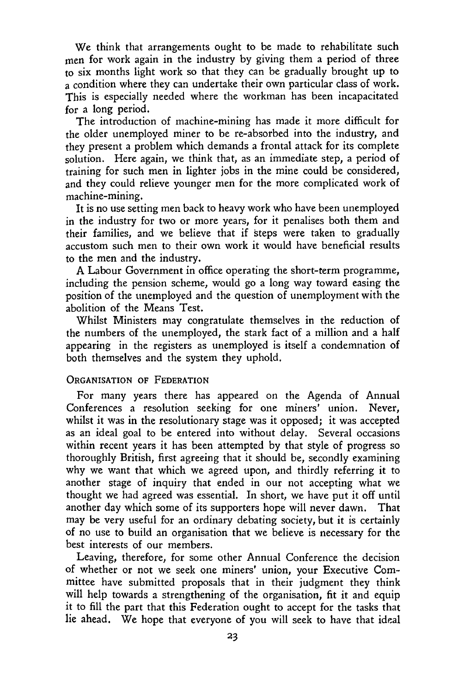We think that arrangements ought to be made to rehabilitate such men for work again in the industry by giving them a period of three to six months light work so that they can be gradually brought up to a condition where they can undertake their own particular class of work. This is especially needed where the workman has been incapacitated for a long period.

The introduction of machine-mining has made it more difficult for the older unemployed miner to be re-absorbed into the industry, and they present a problem which demands a frontal attack for its complete solution. Here again, we think that, as an immediate step, a period of training for such men in lighter jobs in the mine could be considered, and they could relieve younger men for the more complicated work of machine-mining.

It is no use setting men back to heavy work who have been unemployed in the industry for two or more years, for it penalises both them and their families, and we believe that if steps were taken to gradually accustom such men to their own work it would have beneficial results to the men and the industry.

A Labour Government in office operating the short-term programme, including the pension scheme, would go a long way toward easing the position of the unemployed and the question of unemployment with the abolition of the Means Test.

Whilst Ministers may congratulate themselves in the reduction of the numbers of the unemployed, the stark fact of a million and a half appearing in the registers as unemployed is itself a condemnation of both themselves and the system they uphold.

#### ORGANISATION OF FEDERATION

For many years there has appeared on the Agenda of Annual Conferences a resolution seeking for one miners' union. Never, whilst it was in the resolutionary stage was it opposed; it was accepted as an ideal goal to be entered into without delay. Several occasions within recent years it has been attempted by that style of progress so thoroughly British, first agreeing that it should be, secondly examining why we want that which we agreed upon, and thirdly referring it to another stage of inquiry that ended in our not accepting what we thought we had agreed was essential. In short, we have put it off until another day which some of its supporters hope will never dawn. That may be very useful for an ordinary debating society, but it is certainly of no use to build an organisation that we believe is necessary for the best interests of our members.

Leaving, therefore, for some other Annual Conference the decision of whether or not we seek one miners' union, your Executive Committee have submitted proposals that in their judgment they think will help towards a strengthening of the organisation, fit it and equip it to fill the part that this Federation ought to accept for the tasks that lie ahead. We hope that everyone of you will seek to have that ideal